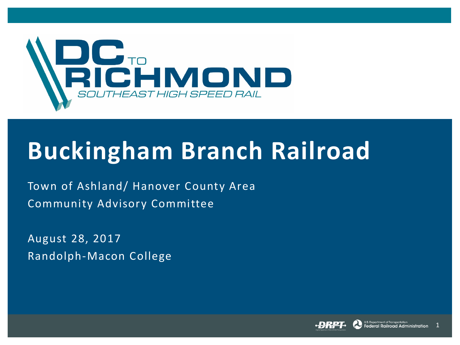

# **Buckingham Branch Railroad**

Town of Ashland/ Hanover County Area Community Advisory Committee

August 28, 2017 Randolph-Macon College



1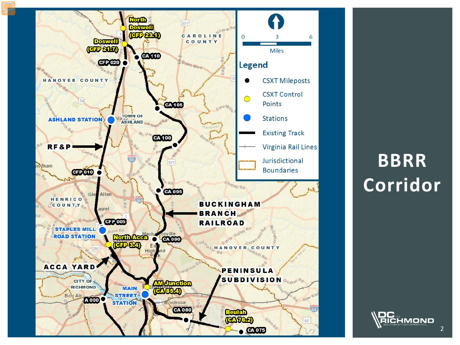

## **BBRR Corridor**

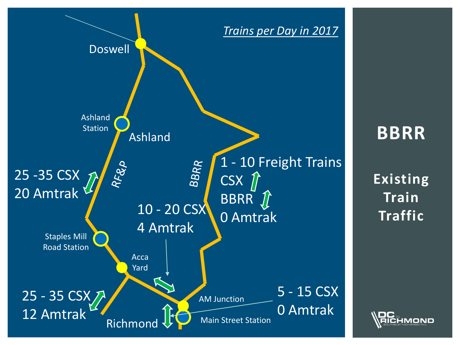

**BBRR**

**Existing Train Traffic**

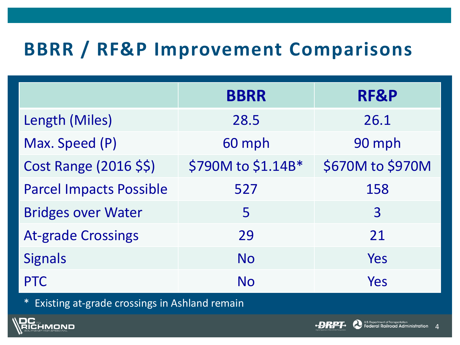## **BBRR / RF&P Improvement Comparisons**

|                                | <b>BBRR</b>        | RF&P             |
|--------------------------------|--------------------|------------------|
| Length (Miles)                 | 28.5               | 26.1             |
| Max. Speed (P)                 | 60 mph             | 90 mph           |
| Cost Range (2016 \$\$)         | \$790M to \$1.14B* | \$670M to \$970M |
| <b>Parcel Impacts Possible</b> | 527                | 158              |
| <b>Bridges over Water</b>      | 5                  | 3                |
| <b>At-grade Crossings</b>      | 29                 | 21               |
| <b>Signals</b>                 | <b>No</b>          | Yes              |
| <b>PTC</b>                     | <b>No</b>          | Yes              |

\* Existing at-grade crossings in Ashland remain



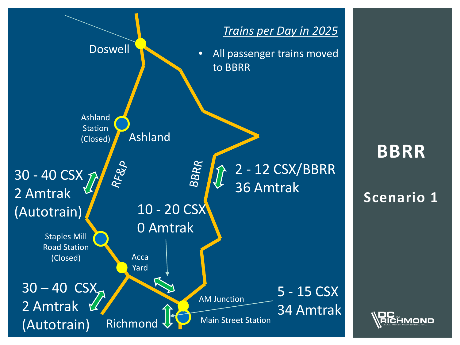

# **BBRR**

#### **Scenario 1**

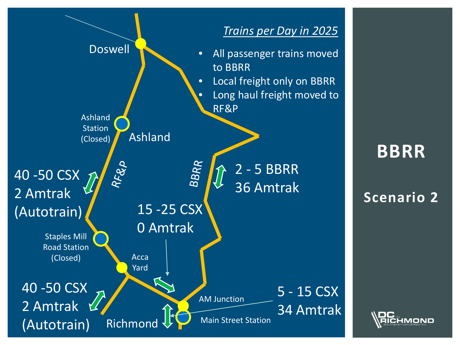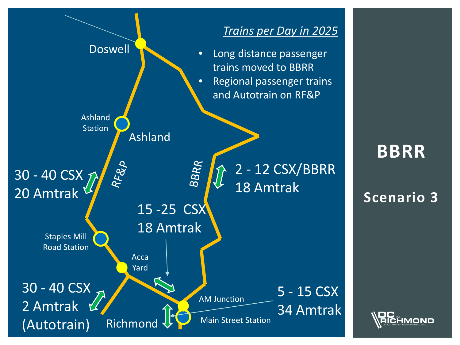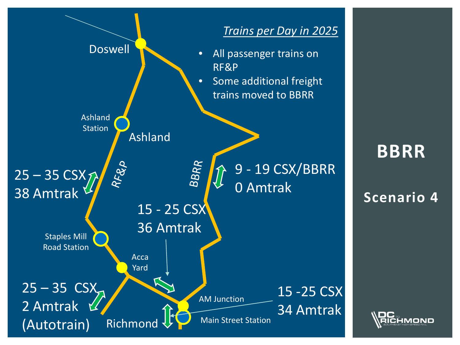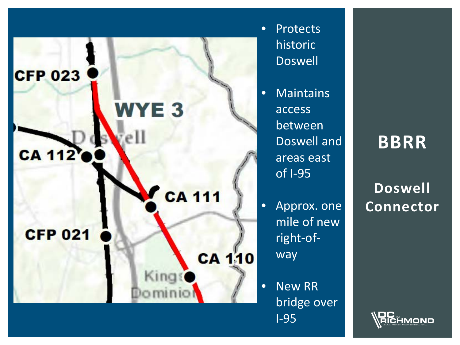

• Protects historic Doswell

• Maintains access between Doswell and areas east of I-95

• Approx. one mile of new right-ofway

• New RR bridge over I-95

### **BBRR**

**Doswell Connector**